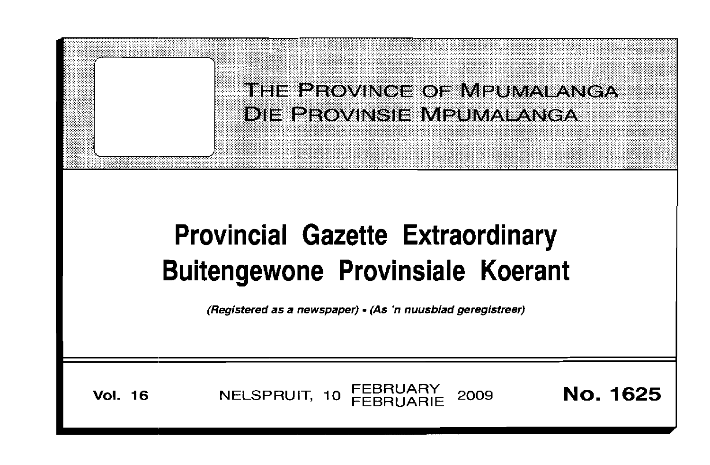THE PROVINCE OF MPUMALANGA DIE PROVINSIE MPUMALANGA

# **Provincial Gazette Extraordinary** Buitengewone Provinsiale Koerant

(Registered as a newspaper) • (As 'n nuusblad geregistreer)

**Vol. 16** 

NELSPRUIT, 10 FEBRUARY 2009

**No. 1625**